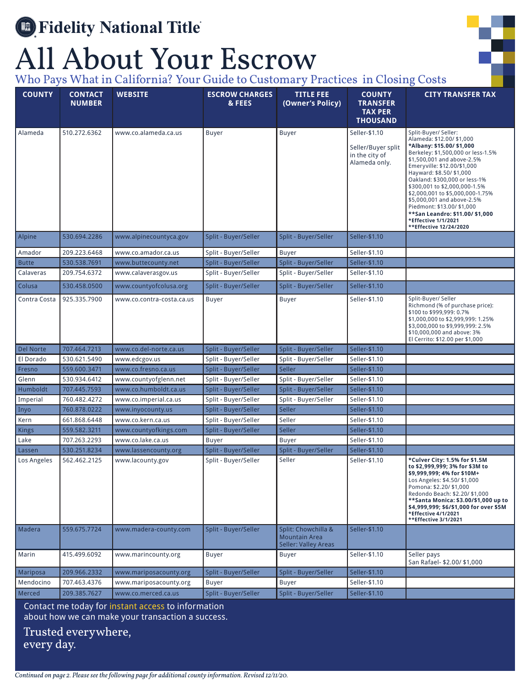## **Separate Fidelity National Title**

## All About Your Escrow



Who Pays What in California? Your Guide to Customary Practices in Closing Costs

| <b>COUNTY</b>         | <b>CONTACT</b><br><b>NUMBER</b> | <b>WEBSITE</b>                           | <b>ESCROW CHARGES</b><br>& FEES              | <b>TITLE FEE</b><br>(Owner's Policy)                                       | <b>COUNTY</b><br><b>TRANSFER</b><br><b>TAX PER</b><br><b>THOUSAND</b>  | <b>CITY TRANSFER TAX</b>                                                                                                                                                                                                                                                                                                                                                                                                                                            |
|-----------------------|---------------------------------|------------------------------------------|----------------------------------------------|----------------------------------------------------------------------------|------------------------------------------------------------------------|---------------------------------------------------------------------------------------------------------------------------------------------------------------------------------------------------------------------------------------------------------------------------------------------------------------------------------------------------------------------------------------------------------------------------------------------------------------------|
| Alameda               | 510.272.6362                    | www.co.alameda.ca.us                     | Buyer                                        | <b>Buyer</b>                                                               | Seller-\$1.10<br>Seller/Buyer split<br>in the city of<br>Alameda only. | Split-Buyer/ Seller:<br>Alameda: \$12.00/ \$1,000<br>*Albany: \$15.00/ \$1,000<br>Berkeley: \$1,500,000 or less-1.5%<br>\$1,500,001 and above-2.5%<br>Emeryville: \$12.00/\$1,000<br>Hayward: \$8.50/ \$1,000<br>Oakland: \$300,000 or less-1%<br>\$300,001 to \$2,000,000-1.5%<br>\$2,000,001 to \$5,000,000-1.75%<br>\$5,000,001 and above-2.5%<br>Piedmont: \$13.00/ \$1,000<br>**San Leandro: \$11.00/ \$1,000<br>*Effective 1/1/2021<br>**Effective 12/24/2020 |
| Alpine                | 530.694.2286                    | www.alpinecountyca.gov                   | Split - Buyer/Seller                         | Split - Buyer/Seller                                                       | Seller-\$1.10                                                          |                                                                                                                                                                                                                                                                                                                                                                                                                                                                     |
| Amador                | 209.223.6468                    | www.co.amador.ca.us                      | Split - Buyer/Seller                         | <b>Buyer</b>                                                               | Seller-\$1.10                                                          |                                                                                                                                                                                                                                                                                                                                                                                                                                                                     |
| <b>Butte</b>          | 530.538.7691                    | www.buttecounty.net                      | Split - Buyer/Seller                         | Split - Buyer/Seller                                                       | Seller-\$1.10                                                          |                                                                                                                                                                                                                                                                                                                                                                                                                                                                     |
| Calaveras             | 209.754.6372                    | www.calaverasgov.us                      | Split - Buyer/Seller                         | Split - Buyer/Seller                                                       | Seller-\$1.10                                                          |                                                                                                                                                                                                                                                                                                                                                                                                                                                                     |
| Colusa                | 530.458.0500                    | www.countyofcolusa.org                   | Split - Buyer/Seller                         | Split - Buyer/Seller                                                       | Seller-\$1.10                                                          |                                                                                                                                                                                                                                                                                                                                                                                                                                                                     |
| Contra Costa          | 925.335.7900                    | www.co.contra-costa.ca.us                | Buyer                                        | <b>Buyer</b>                                                               | Seller-\$1.10                                                          | Split-Buyer/ Seller<br>Richmond (% of purchase price):<br>\$100 to \$999,999: 0.7%<br>\$1,000,000 to \$2,999,999: 1.25%<br>\$3,000,000 to \$9,999,999: 2.5%<br>\$10,000,000 and above: 3%<br>El Cerrito: \$12.00 per \$1,000                                                                                                                                                                                                                                        |
| Del Norte             | 707.464.7213                    | www.co.del-norte.ca.us                   | Split - Buyer/Seller                         | Split - Buyer/Seller                                                       | Seller-\$1.10                                                          |                                                                                                                                                                                                                                                                                                                                                                                                                                                                     |
| El Dorado             | 530.621.5490                    | www.edcgov.us                            | Split - Buyer/Seller                         | Split - Buyer/Seller                                                       | Seller-\$1.10                                                          |                                                                                                                                                                                                                                                                                                                                                                                                                                                                     |
| Fresno                | 559.600.3471                    | www.co.fresno.ca.us                      | Split - Buyer/Seller                         | Seller                                                                     | Seller-\$1.10                                                          |                                                                                                                                                                                                                                                                                                                                                                                                                                                                     |
| Glenn                 | 530.934.6412                    | www.countyofglenn.net                    | Split - Buyer/Seller                         | Split - Buyer/Seller                                                       | Seller-\$1.10                                                          |                                                                                                                                                                                                                                                                                                                                                                                                                                                                     |
| Humboldt              | 707.445.7593                    | www.co.humboldt.ca.us                    | Split - Buyer/Seller                         | Split - Buyer/Seller                                                       | Seller-\$1.10                                                          |                                                                                                                                                                                                                                                                                                                                                                                                                                                                     |
| Imperial              | 760.482.4272                    | www.co.imperial.ca.us                    | Split - Buyer/Seller                         | Split - Buyer/Seller                                                       | Seller-\$1.10                                                          |                                                                                                                                                                                                                                                                                                                                                                                                                                                                     |
| Inyo                  | 760.878.0222                    | www.inyocounty.us                        | Split - Buyer/Seller                         | <b>Seller</b>                                                              | Seller-\$1.10                                                          |                                                                                                                                                                                                                                                                                                                                                                                                                                                                     |
| Kern                  | 661.868.6448                    | www.co.kern.ca.us                        | Split - Buyer/Seller                         | Seller                                                                     | Seller-\$1.10                                                          |                                                                                                                                                                                                                                                                                                                                                                                                                                                                     |
| <b>Kings</b>          | 559.582.3211                    | www.countyofkings.com                    | Split - Buyer/Seller                         | Seller                                                                     | Seller-\$1.10                                                          |                                                                                                                                                                                                                                                                                                                                                                                                                                                                     |
| Lake                  | 707.263.2293                    | www.co.lake.ca.us                        | <b>Buyer</b>                                 | <b>Buyer</b>                                                               | Seller-\$1.10                                                          |                                                                                                                                                                                                                                                                                                                                                                                                                                                                     |
| Lassen<br>Los Angeles | 530.251.8234<br>562.462.2125    | www.lassencounty.org<br>www.lacounty.gov | Split - Buyer/Seller<br>Split - Buyer/Seller | Split - Buyer/Seller<br>Seller                                             | Seller-\$1.10<br>Seller-\$1.10                                         | *Culver City: 1.5% for \$1.5M<br>to \$2,999,999; 3% for \$3M to<br>\$9,999,999; 4% for \$10M+<br>Los Angeles: \$4.50/ \$1,000<br>Pomona: \$2.20/ \$1,000<br>Redondo Beach: \$2.20/ \$1,000<br>**Santa Monica: \$3.00/\$1,000 up to<br>\$4.999.999: \$6/\$1.000 for over \$5M<br>*Effective 4/1/2021<br>**Effective 3/1/2021                                                                                                                                         |
| Madera                | 559.675.7724                    | www.madera-county.com                    | Split - Buyer/Seller                         | Split: Chowchilla &<br><b>Mountain Area</b><br><b>Seller: Valley Areas</b> | Seller-\$1.10                                                          |                                                                                                                                                                                                                                                                                                                                                                                                                                                                     |
| Marin                 | 415.499.6092                    | www.marincounty.org                      | Buyer                                        | Buyer                                                                      | Seller-\$1.10                                                          | Seller pays<br>San Rafael- \$2.00/ \$1,000                                                                                                                                                                                                                                                                                                                                                                                                                          |
| Mariposa              | 209.966.2332                    | www.mariposacounty.org                   | Split - Buyer/Seller                         | Split - Buyer/Seller                                                       | Seller-\$1.10                                                          |                                                                                                                                                                                                                                                                                                                                                                                                                                                                     |
| Mendocino             | 707.463.4376                    | www.mariposacounty.org                   | Buyer                                        | <b>Buyer</b>                                                               | Seller-\$1.10                                                          |                                                                                                                                                                                                                                                                                                                                                                                                                                                                     |
| Merced                | 209.385.7627                    | www.co.merced.ca.us                      | Split - Buyer/Seller                         | Split - Buyer/Seller                                                       | Seller-\$1.10                                                          |                                                                                                                                                                                                                                                                                                                                                                                                                                                                     |

Contact me today for instant access to information about how we can make your transaction a success.

Trusted everywhere, every day.